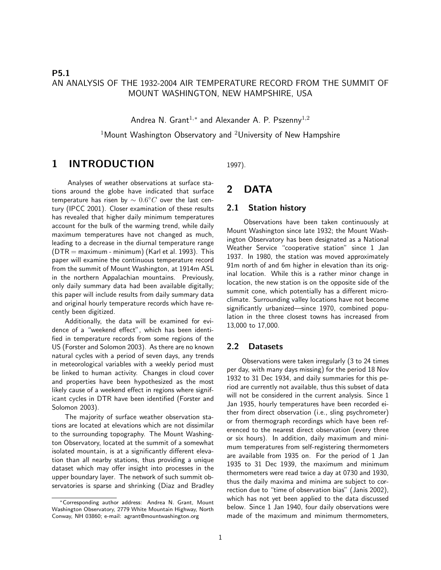### P5.1 AN ANALYSIS OF THE 1932-2004 AIR TEMPERATURE RECORD FROM THE SUMMIT OF MOUNT WASHINGTON, NEW HAMPSHIRE, USA

Andrea N. Grant $^{1,*}$  and Alexander A. P. Pszenny $^{1,2}$ 

 $1$ Mount Washington Observatory and  $2$ University of New Hampshire

# 1 INTRODUCTION

Analyses of weather observations at surface stations around the globe have indicated that surface temperature has risen by  $\sim 0.6^{\circ}C$  over the last century (IPCC 2001). Closer examination of these results has revealed that higher daily minimum temperatures account for the bulk of the warming trend, while daily maximum temperatures have not changed as much, leading to a decrease in the diurnal temperature range  $(DTR = maximum - minimum)$  (Karl et al. 1993). This paper will examine the continuous temperature record from the summit of Mount Washington, at 1914m ASL in the northern Appalachian mountains. Previously, only daily summary data had been available digitally; this paper will include results from daily summary data and original hourly temperature records which have recently been digitized.

Additionally, the data will be examined for evidence of a "weekend effect", which has been identified in temperature records from some regions of the US (Forster and Solomon 2003). As there are no known natural cycles with a period of seven days, any trends in meteorological variables with a weekly period must be linked to human activity. Changes in cloud cover and properties have been hypothesized as the most likely cause of a weekend effect in regions where significant cycles in DTR have been identified (Forster and Solomon 2003).

The majority of surface weather observation stations are located at elevations which are not dissimilar to the surrounding topography. The Mount Washington Observatory, located at the summit of a somewhat isolated mountain, is at a significantly different elevation than all nearby stations, thus providing a unique dataset which may offer insight into processes in the upper boundary layer. The network of such summit observatories is sparse and shrinking (Diaz and Bradley 1997).

### 2 DATA

#### 2.1 Station history

Observations have been taken continuously at Mount Washington since late 1932; the Mount Washington Observatory has been designated as a National Weather Service "cooperative station" since 1 Jan 1937. In 1980, the station was moved approximately 91m north of and 6m higher in elevation than its original location. While this is a rather minor change in location, the new station is on the opposite side of the summit cone, which potentially has a different microclimate. Surrounding valley locations have not become significantly urbanized—since 1970, combined population in the three closest towns has increased from 13,000 to 17,000.

#### 2.2 Datasets

Observations were taken irregularly (3 to 24 times per day, with many days missing) for the period 18 Nov 1932 to 31 Dec 1934, and daily summaries for this period are currently not available, thus this subset of data will not be considered in the current analysis. Since 1 Jan 1935, hourly temperatures have been recorded either from direct observation (i.e., sling psychrometer) or from thermograph recordings which have been referenced to the nearest direct observation (every three or six hours). In addition, daily maximum and minimum temperatures from self-registering thermometers are available from 1935 on. For the period of 1 Jan 1935 to 31 Dec 1939, the maximum and minimum thermometers were read twice a day at 0730 and 1930, thus the daily maxima and minima are subject to correction due to "time of observation bias" (Janis 2002), which has not yet been applied to the data discussed below. Since 1 Jan 1940, four daily observations were made of the maximum and minimum thermometers,

<sup>∗</sup>Corresponding author address: Andrea N. Grant, Mount Washington Observatory, 2779 White Mountain Highway, North Conway, NH 03860; e-mail: agrant@mountwashington.org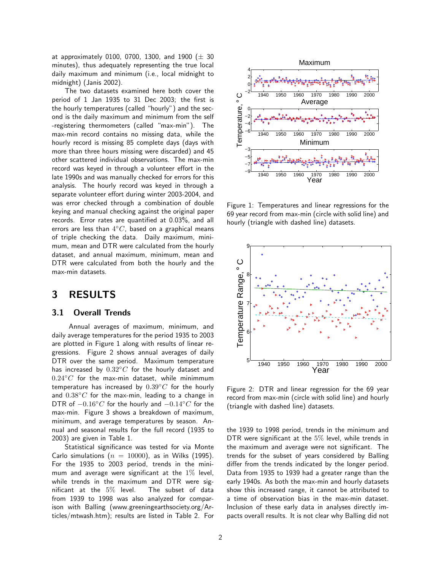at approximately 0100, 0700, 1300, and 1900 ( $\pm$  30 minutes), thus adequately representing the true local daily maximum and minimum (i.e., local midnight to midnight) (Janis 2002).

The two datasets examined here both cover the period of 1 Jan 1935 to 31 Dec 2003; the first is the hourly temperatures (called "hourly") and the second is the daily maximum and minimum from the self -registering thermometers (called "max-min"). The max-min record contains no missing data, while the hourly record is missing 85 complete days (days with more than three hours missing were discarded) and 45 other scattered individual observations. The max-min record was keyed in through a volunteer effort in the late 1990s and was manually checked for errors for this analysis. The hourly record was keyed in through a separate volunteer effort during winter 2003-2004, and was error checked through a combination of double keying and manual checking against the original paper records. Error rates are quantified at 0.03%, and all errors are less than  $4^{\circ}C$ , based on a graphical means of triple checking the data. Daily maximum, minimum, mean and DTR were calculated from the hourly dataset, and annual maximum, minimum, mean and DTR were calculated from both the hourly and the max-min datasets.

# 3 RESULTS

#### 3.1 Overall Trends

Annual averages of maximum, minimum, and daily average temperatures for the period 1935 to 2003 are plotted in Figure 1 along with results of linear regressions. Figure 2 shows annual averages of daily DTR over the same period. Maximum temperature has increased by  $0.32\degree C$  for the hourly dataset and  $0.24\degree C$  for the max-min dataset, while minimmum temperature has increased by  $0.39 °C$  for the hourly and  $0.38\degree C$  for the max-min, leading to a change in DTR of  $-0.16 °C$  for the hourly and  $-0.14 °C$  for the max-min. Figure 3 shows a breakdown of maximum, minimum, and average temperatures by season. Annual and seasonal results for the full record (1935 to 2003) are given in Table 1.

Statistical significance was tested for via Monte Carlo simulations ( $n = 10000$ ), as in Wilks (1995). For the 1935 to 2003 period, trends in the minimum and average were significant at the  $1\%$  level, while trends in the maximum and DTR were significant at the 5% level. The subset of data from 1939 to 1998 was also analyzed for comparison with Balling (www.greeningearthsociety.org/Articles/mtwash.htm); results are listed in Table 2. For



Figure 1: Temperatures and linear regressions for the 69 year record from max-min (circle with solid line) and hourly (triangle with dashed line) datasets.



Figure 2: DTR and linear regression for the 69 year record from max-min (circle with solid line) and hourly (triangle with dashed line) datasets.

the 1939 to 1998 period, trends in the minimum and DTR were significant at the 5% level, while trends in the maximum and average were not significant. The trends for the subset of years considered by Balling differ from the trends indicated by the longer period. Data from 1935 to 1939 had a greater range than the early 1940s. As both the max-min and hourly datasets show this increased range, it cannot be attributed to a time of observation bias in the max-min dataset. Inclusion of these early data in analyses directly impacts overall results. It is not clear why Balling did not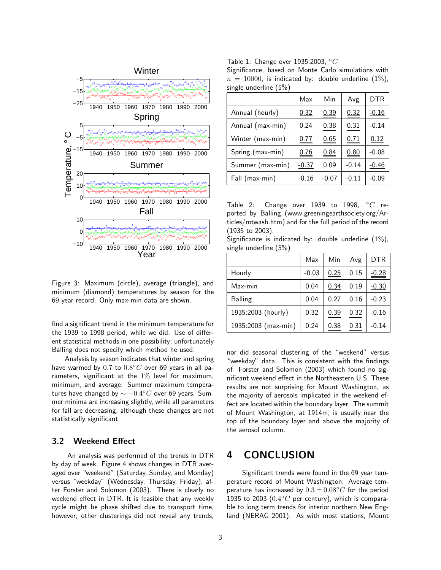

Figure 3: Maximum (circle), average (triangle), and minimum (diamond) temperatures by season for the 69 year record. Only max-min data are shown.

find a significant trend in the minimum temperature for the 1939 to 1998 period, while we did. Use of different statistical methods in one possibility; unfortunately Balling does not specify which method he used.

Analysis by season indicates that winter and spring have warmed by  $0.7$  to  $0.8^{\circ}C$  over 69 years in all parameters, significant at the  $1\%$  level for maximum, minimum, and average. Summer maximum temperatures have changed by  $\sim -0.4^{\circ}C$  over 69 years. Summer minima are increasing slightly, while all parameters for fall are decreasing, although these changes are not statistically significant.

### 3.2 Weekend Effect

An analysis was performed of the trends in DTR by day of week. Figure 4 shows changes in DTR averaged over "weekend" (Saturday, Sunday, and Monday) versus "weekday" (Wednesday, Thursday, Friday), after Forster and Solomon (2003). There is clearly no weekend effect in DTR. It is feasible that any weekly cycle might be phase shifted due to transport time, however, other clusterings did not reveal any trends, Table 1: Change over 1935:2003,  $°C$ 

Significance, based on Monte Carlo simulations with  $n = 10000$ , is indicated by: double underline  $(1\%)$ , single underline (5%)

|                  | Max         | Min     | Avg     | DTR          |
|------------------|-------------|---------|---------|--------------|
| Annual (hourly)  | 0.32        | 0.39    | 0.32    | $-0.16$      |
| Annual (max-min) | 0.24        | 0.38    | 0.31    | $-0.14$      |
| Winter (max-min) | <u>0.77</u> | 0.65    | 0.71    | 0.12         |
| Spring (max-min) | 0.76        | 0.84    | 0.80    | $-0.08$      |
| Summer (max-min) | $-0.37$     | 0.09    | $-0.14$ | <u>-0.46</u> |
| Fall (max-min)   | $-0.16$     | $-0.07$ | $-0.11$ | $-0.09$      |

|                            | Table 2: Change over 1939 to 1998, $\degree C$ re-       |  |  |  |
|----------------------------|----------------------------------------------------------|--|--|--|
|                            | ported by Balling (www.greeningearthsociety.org/Ar-      |  |  |  |
|                            | ticles/mtwash.htm) and for the full period of the record |  |  |  |
| $(1935 \text{ to } 2003).$ |                                                          |  |  |  |

Significance is indicated by: double underline (1%), single underline (5%)

|                     | Max     | Min  | Avg  | DTR     |
|---------------------|---------|------|------|---------|
| Hourly              | $-0.03$ | 0.25 | 0.15 | $-0.28$ |
| Max-min             | 0.04    | 0.34 | 0.19 | $-0.30$ |
| Balling             | 0.04    | 0.27 | 0.16 | $-0.23$ |
| 1935:2003 (hourly)  | 0.32    | 0.39 | 0.32 | $-0.16$ |
| 1935:2003 (max-min) | 0.24    | 0.38 | 0.31 | -0.14   |

nor did seasonal clustering of the "weekend" versus "weekday" data. This is consistent with the findings of Forster and Solomon (2003) which found no significant weekend effect in the Northeastern U.S. These results are not surprising for Mount Washington, as the majority of aerosols implicated in the weekend effect are located within the boundary layer. The summit of Mount Washington, at 1914m, is usually near the top of the boundary layer and above the majority of the aerosol column.

# 4 CONCLUSION

Significant trends were found in the 69 year temperature record of Mount Washington. Average temperature has increased by  $0.3 \pm 0.08$ °C for the period 1935 to 2003  $(0.4\degree C$  per century), which is comparable to long term trends for interior northern New England (NERAG 2001). As with most stations, Mount